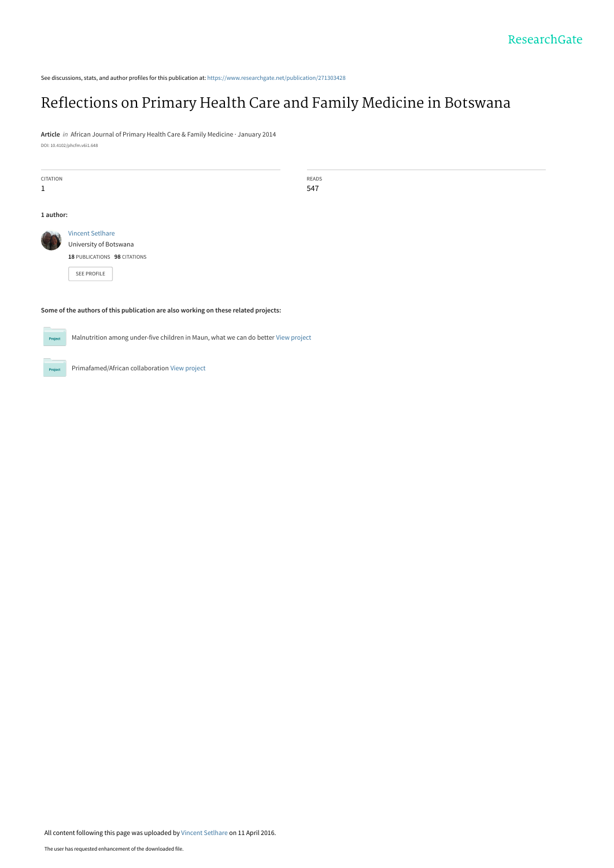See discussions, stats, and author profiles for this publication at: [https://www.researchgate.net/publication/271303428](https://www.researchgate.net/publication/271303428_Reflections_on_Primary_Health_Care_and_Family_Medicine_in_Botswana?enrichId=rgreq-d4cd5b9cb91e5b4fc7d8e39e2df9ad7d-XXX&enrichSource=Y292ZXJQYWdlOzI3MTMwMzQyODtBUzozNDk2NDIwNzcyOTQ1OTZAMTQ2MDM3MjU3NTg4NQ%3D%3D&el=1_x_2&_esc=publicationCoverPdf)

## [Reflections on Primary Health Care and Family Medicine in Botswana](https://www.researchgate.net/publication/271303428_Reflections_on_Primary_Health_Care_and_Family_Medicine_in_Botswana?enrichId=rgreq-d4cd5b9cb91e5b4fc7d8e39e2df9ad7d-XXX&enrichSource=Y292ZXJQYWdlOzI3MTMwMzQyODtBUzozNDk2NDIwNzcyOTQ1OTZAMTQ2MDM3MjU3NTg4NQ%3D%3D&el=1_x_3&_esc=publicationCoverPdf)

**Article** in African Journal of Primary Health Care & Family Medicine · January 2014 DOI: 10.4102/phcfm.v6i1.648

| CITATION<br>$\mathbf{1}$ |                                                   | READS<br>547 |
|--------------------------|---------------------------------------------------|--------------|
| 1 author:                |                                                   |              |
|                          | <b>Vincent SetIhare</b><br>University of Botswana |              |
|                          | 18 PUBLICATIONS 98 CITATIONS                      |              |
|                          | SEE PROFILE                                       |              |
|                          |                                                   |              |

#### **Some of the authors of this publication are also working on these related projects:**



 $Prc$ 

Malnutrition among under-five children in Maun, what we can do better [View project](https://www.researchgate.net/project/Malnutrition-among-under-five-children-in-Maun-what-we-can-do-better?enrichId=rgreq-d4cd5b9cb91e5b4fc7d8e39e2df9ad7d-XXX&enrichSource=Y292ZXJQYWdlOzI3MTMwMzQyODtBUzozNDk2NDIwNzcyOTQ1OTZAMTQ2MDM3MjU3NTg4NQ%3D%3D&el=1_x_9&_esc=publicationCoverPdf)

Primafamed/African collaboration [View project](https://www.researchgate.net/project/Primafamed-African-collaboration?enrichId=rgreq-d4cd5b9cb91e5b4fc7d8e39e2df9ad7d-XXX&enrichSource=Y292ZXJQYWdlOzI3MTMwMzQyODtBUzozNDk2NDIwNzcyOTQ1OTZAMTQ2MDM3MjU3NTg4NQ%3D%3D&el=1_x_9&_esc=publicationCoverPdf)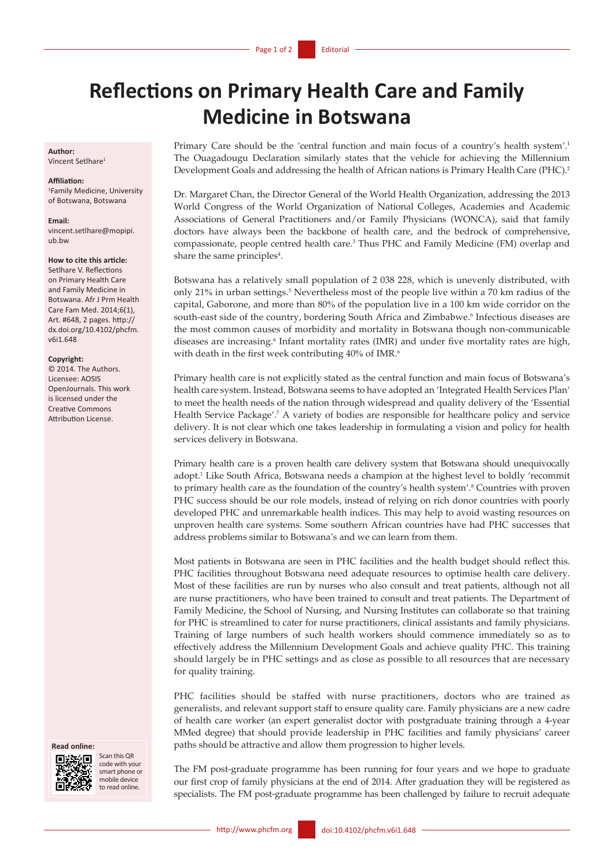# **Reflections on Primary Health Care and Family Medicine in Botswana**

**Author:** Vincent Setlhare1

#### **Affiliation:**

1 Family Medicine, University of Botswana, Botswana

#### **Email:**

[vincent.setlhare@mopipi.](mailto:vincent.setlhare%40mopipi.ub.bw?subject=) [ub.bw](mailto:vincent.setlhare%40mopipi.ub.bw?subject=)

#### **How to cite this article:**

Setlhare V. Reflections on Primary Health Care and Family Medicine in Botswana. Afr J Prm Health Care Fam Med. 2014;6(1), Art. #648, 2 pages. [http://](http://dx.doi.org/10.4102/phcfm.v5i1.648) [dx.doi.org/10.4102/phcfm.](http://dx.doi.org/10.4102/phcfm.v5i1.648) [v6i1.648](http://dx.doi.org/10.4102/phcfm.v5i1.648)

#### **Copyright:**

© 2014. The Authors. Licensee: AOSIS OpenJournals. This work is licensed under the Creative Commons Attribution License.

**Read online:**



Scan this QR code with your smart phone or mobile device to read online.

Primary Care should be the 'central function and main focus of a country's health system'.<sup>1</sup> The Ouagadougu Declaration similarly states that the vehicle for achieving the Millennium Development Goals and addressing the health of African nations is Primary Health Care (PHC).<sup>2</sup>

Dr. Margaret Chan, the Director General of the World Health Organization, addressing the 2013 World Congress of the World Organization of National Colleges, Academies and Academic Associations of General Practitioners and/or Family Physicians (WONCA), said that family doctors have always been the backbone of health care, and the bedrock of comprehensive, compassionate, people centred health care.3 Thus PHC and Family Medicine (FM) overlap and share the same principles<sup>4</sup>.

Botswana has a relatively small population of 2 038 228, which is unevenly distributed, with only 21% in urban settings.<sup>5</sup> Nevertheless most of the people live within a 70 km radius of the capital, Gaborone, and more than 80% of the population live in a 100 km wide corridor on the south-east side of the country, bordering South Africa and Zimbabwe.<sup>6</sup> Infectious diseases are the most common causes of morbidity and mortality in Botswana though non-communicable diseases are increasing.<sup>6</sup> Infant mortality rates (IMR) and under five mortality rates are high, with death in the first week contributing 40% of IMR.<sup>6</sup>

Primary health care is not explicitly stated as the central function and main focus of Botswana's health care system. Instead, Botswana seems to have adopted an 'Integrated Health Services Plan' to meet the health needs of the nation through widespread and quality delivery of the 'Essential Health Service Package'.<sup>7</sup> A variety of bodies are responsible for healthcare policy and service delivery. It is not clear which one takes leadership in formulating a vision and policy for health services delivery in Botswana.

Primary health care is a proven health care delivery system that Botswana should unequivocally adopt.<sup>1</sup> Like South Africa, Botswana needs a champion at the highest level to boldly 'recommit to primary health care as the foundation of the country's health system'.<sup>8</sup> Countries with proven PHC success should be our role models, instead of relying on rich donor countries with poorly developed PHC and unremarkable health indices. This may help to avoid wasting resources on unproven health care systems. Some southern African countries have had PHC successes that address problems similar to Botswana's and we can learn from them.

Most patients in Botswana are seen in PHC facilities and the health budget should reflect this. PHC facilities throughout Botswana need adequate resources to optimise health care delivery. Most of these facilities are run by nurses who also consult and treat patients, although not all are nurse practitioners, who have been trained to consult and treat patients. The Department of Family Medicine, the School of Nursing, and Nursing Institutes can collaborate so that training for PHC is streamlined to cater for nurse practitioners, clinical assistants and family physicians. Training of large numbers of such health workers should commence immediately so as to effectively address the Millennium Development Goals and achieve quality PHC. This training should largely be in PHC settings and as close as possible to all resources that are necessary for quality training.

PHC facilities should be staffed with nurse practitioners, doctors who are trained as generalists, and relevant support staff to ensure quality care. Family physicians are a new cadre of health care worker (an expert generalist doctor with postgraduate training through a 4-year MMed degree) that should provide leadership in PHC facilities and family physicians' career paths should be attractive and allow them progression to higher levels.

The FM post-graduate programme has been running for four years and we hope to graduate our first crop of family physicians at the end of 2014. After graduation they will be registered as specialists. The FM post-graduate programme has been challenged by failure to recruit adequate